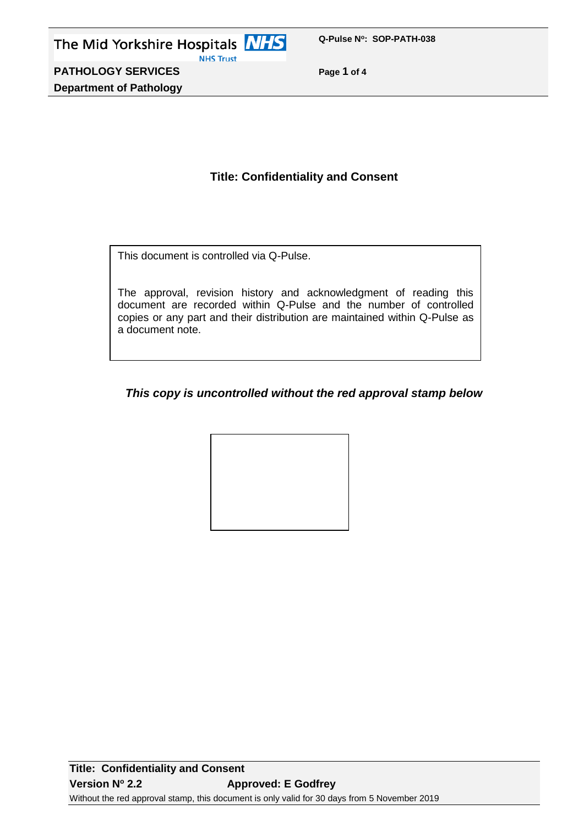**PATHOLOGY SERVICES Page 1 of 4 Department of Pathology**

# **Title: Confidentiality and Consent**

This document is controlled via Q-Pulse.

The approval, revision history and acknowledgment of reading this document are recorded within Q-Pulse and the number of controlled copies or any part and their distribution are maintained within Q-Pulse as a document note.

# *This copy is uncontrolled without the red approval stamp below*

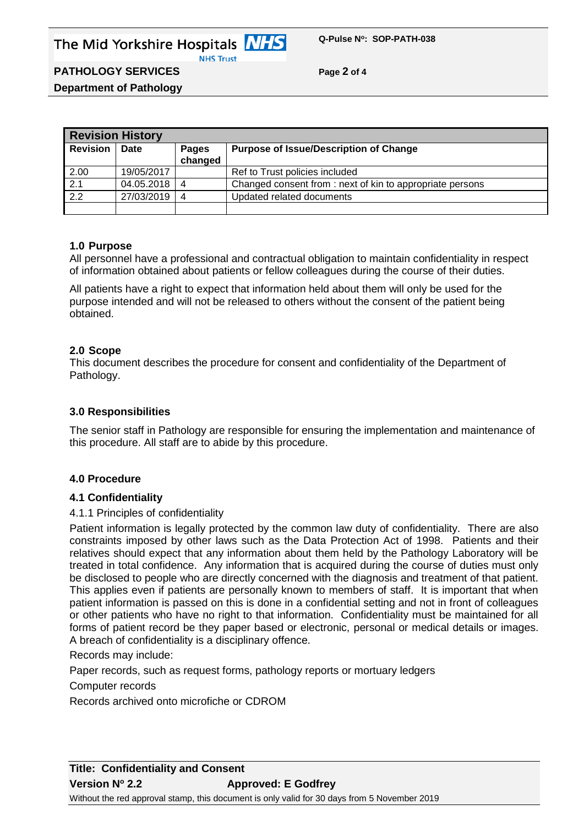## **PATHOLOGY SERVICES Page 2 of 4**

**Department of Pathology**

| <b>Revision History</b> |             |                         |                                                          |
|-------------------------|-------------|-------------------------|----------------------------------------------------------|
| <b>Revision</b>         | <b>Date</b> | <b>Pages</b><br>changed | <b>Purpose of Issue/Description of Change</b>            |
| 2.00                    | 19/05/2017  |                         | Ref to Trust policies included                           |
| 2.1                     | 04.05.2018  | 4                       | Changed consent from: next of kin to appropriate persons |
| $\overline{2.2}$        | 27/03/2019  | 4                       | Updated related documents                                |
|                         |             |                         |                                                          |

### **1.0 Purpose**

All personnel have a professional and contractual obligation to maintain confidentiality in respect of information obtained about patients or fellow colleagues during the course of their duties.

All patients have a right to expect that information held about them will only be used for the purpose intended and will not be released to others without the consent of the patient being obtained.

#### **2.0 Scope**

This document describes the procedure for consent and confidentiality of the Department of Pathology.

#### **3.0 Responsibilities**

The senior staff in Pathology are responsible for ensuring the implementation and maintenance of this procedure. All staff are to abide by this procedure.

### **4.0 Procedure**

#### **4.1 Confidentiality**

#### 4.1.1 Principles of confidentiality

Patient information is legally protected by the common law duty of confidentiality. There are also constraints imposed by other laws such as the Data Protection Act of 1998. Patients and their relatives should expect that any information about them held by the Pathology Laboratory will be treated in total confidence. Any information that is acquired during the course of duties must only be disclosed to people who are directly concerned with the diagnosis and treatment of that patient. This applies even if patients are personally known to members of staff. It is important that when patient information is passed on this is done in a confidential setting and not in front of colleagues or other patients who have no right to that information. Confidentiality must be maintained for all forms of patient record be they paper based or electronic, personal or medical details or images. A breach of confidentiality is a disciplinary offence.

Records may include:

Paper records, such as request forms, pathology reports or mortuary ledgers

Computer records

Records archived onto microfiche or CDROM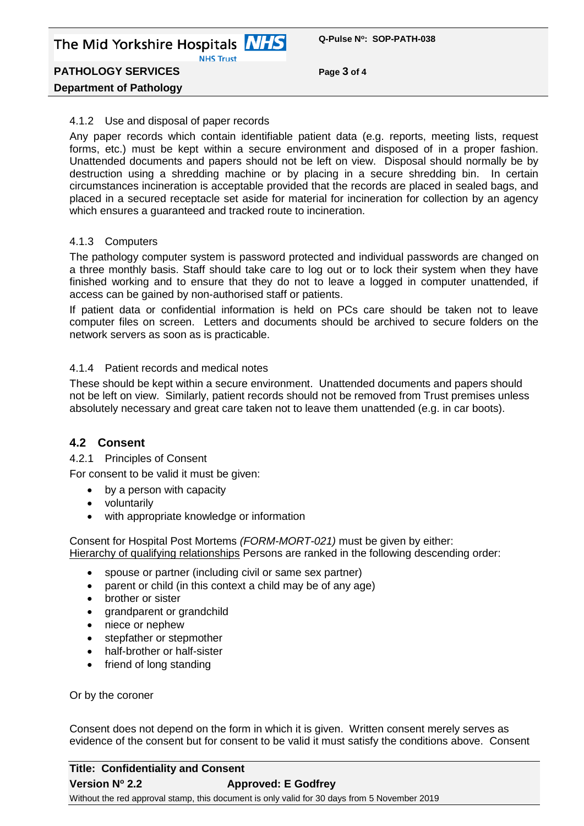**PATHOLOGY SERVICES Page 3 of 4**

# **Department of Pathology**

### 4.1.2 Use and disposal of paper records

Any paper records which contain identifiable patient data (e.g. reports, meeting lists, request forms, etc.) must be kept within a secure environment and disposed of in a proper fashion. Unattended documents and papers should not be left on view. Disposal should normally be by destruction using a shredding machine or by placing in a secure shredding bin. In certain circumstances incineration is acceptable provided that the records are placed in sealed bags, and placed in a secured receptacle set aside for material for incineration for collection by an agency which ensures a guaranteed and tracked route to incineration.

## 4.1.3 Computers

The pathology computer system is password protected and individual passwords are changed on a three monthly basis. Staff should take care to log out or to lock their system when they have finished working and to ensure that they do not to leave a logged in computer unattended, if access can be gained by non-authorised staff or patients.

If patient data or confidential information is held on PCs care should be taken not to leave computer files on screen. Letters and documents should be archived to secure folders on the network servers as soon as is practicable.

## 4.1.4 Patient records and medical notes

These should be kept within a secure environment. Unattended documents and papers should not be left on view. Similarly, patient records should not be removed from Trust premises unless absolutely necessary and great care taken not to leave them unattended (e.g. in car boots).

# **4.2 Consent**

4.2.1 Principles of Consent

For consent to be valid it must be given:

- by a person with capacity
- voluntarily
- with appropriate knowledge or information

Consent for Hospital Post Mortems *(FORM-MORT-021)* must be given by either: Hierarchy of qualifying relationships Persons are ranked in the following descending order:

- spouse or partner (including civil or same sex partner)
- parent or child (in this context a child may be of any age)
- brother or sister
- grandparent or grandchild
- niece or nephew
- stepfather or stepmother
- half-brother or half-sister
- friend of long standing

Or by the coroner

Consent does not depend on the form in which it is given. Written consent merely serves as evidence of the consent but for consent to be valid it must satisfy the conditions above. Consent